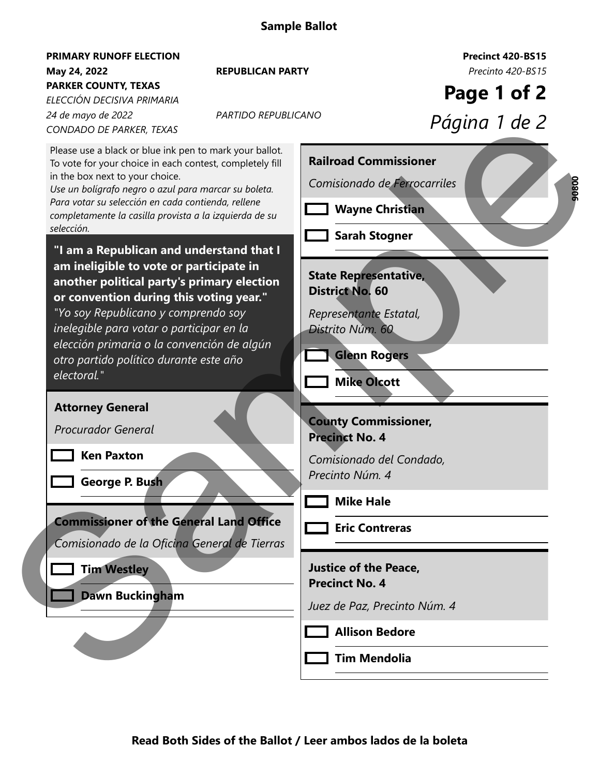## **May 24, 2022** *Precinto 420-BS15* **REPUBLICAN PARTY PRIMARY RUNOFF ELECTION PARKER COUNTY, TEXAS**

*24 de mayo de 2022 ELECCIÓN DECISIVA PRIMARIA CONDADO DE PARKER, TEXAS*

*PARTIDO REPUBLICANO*

**Precinct 420-BS15**

**Page 1 of 2**

*Página 1 de 2*